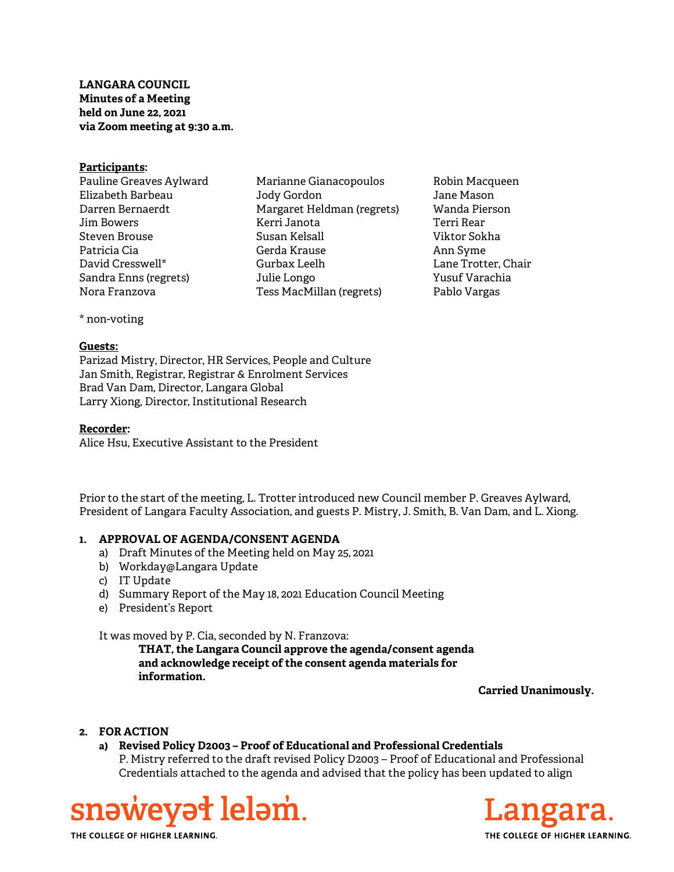# LANGARA COUNCIL Minutes of a Meeting held on June 22, 2021 via Zoom meeting at 9:30 a.m.

#### Participants:

Pauline Greaves Aylward Elizabeth Barbeau Darren Bernaerdt Jim Bowers Steven Brouse Patricia Cia David Cresswell\* Sandra Enns (regrets) Nora Franzova

Marianne Gianacopoulos Jody Gordon Margaret Heldman (regrets) Kerri Janota Susan Kelsall Gerda Krause Gurbax Leelh Julie Longo Tess MacMillan (regrets)

Robin Macqueen Jane Mason Wanda Pierson Terri Rear Viktor Sokha Ann Syme Lane Trotter, Chair Yusuf Varachia Pablo Vargas

\* non-voting

### Guests:

Parizad Mistry, Director, HR Services, People and Culture Jan Smith, Registrar, Registrar & Enrolment Services Brad Van Dam, Director, Langara Global Larry Xiong, Director, Institutional Research

# Recorder:

Alice Hsu, Executive Assistant to the President

Prior to the start of the meeting, L. Trotter introduced new Council member P. Greaves Aylward, President of Langara Faculty Association, and guests P. Mistry, J. Smith, B. Van Dam, and L. Xiong.

### 1. APPROVAL OF AGENDA/CONSENT AGENDA

- a) Draft Minutes of the Meeting held on May 25, 2021
- b) Workday@Langara Update
- c) IT Update
- d) Summary Report of the May 18, 2021 Education Council Meeting
- e) President's Report

It was moved by P. Cia, seconded by N. Franzova:

THAT, the Langara Council approve the agenda/consent agenda and acknowledge receipt of the consent agenda materials for information.

Carried Unanimously.

# 2. FOR ACTION

a) Revised Policy D2003 – Proof of Educational and Professional Credentials P. Mistry referred to the draft revised Policy D2003 – Proof of Educational and Professional Credentials attached to the agenda and advised that the policy has been updated to align





THE COLLEGE OF HIGHER LEARNING.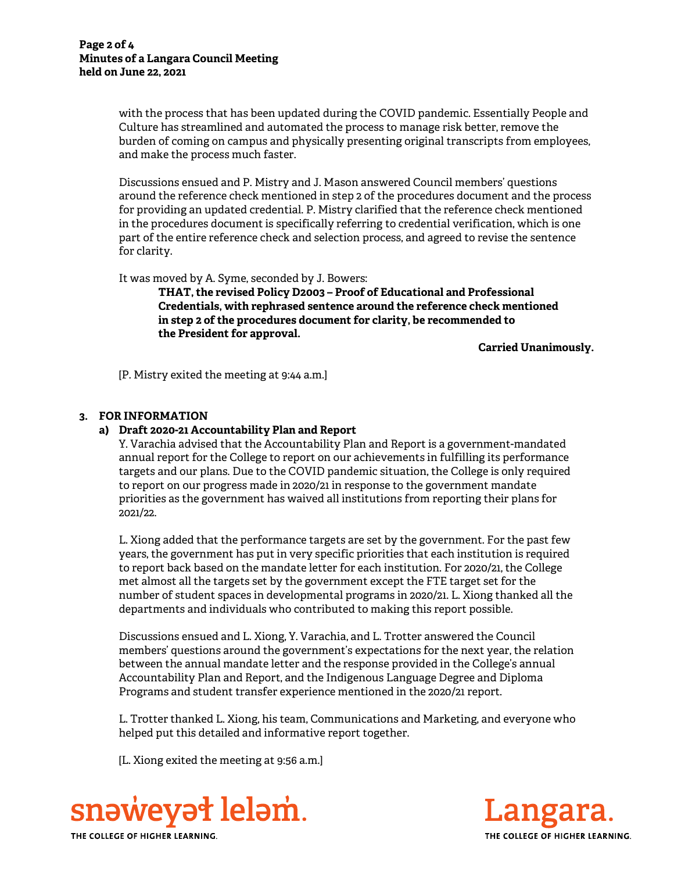with the process that has been updated during the COVID pandemic. Essentially People and Culture has streamlined and automated the process to manage risk better, remove the burden of coming on campus and physically presenting original transcripts from employees, and make the process much faster.

Discussions ensued and P. Mistry and J. Mason answered Council members' questions around the reference check mentioned in step 2 of the procedures document and the process for providing an updated credential. P. Mistry clarified that the reference check mentioned in the procedures document is specifically referring to credential verification, which is one part of the entire reference check and selection process, and agreed to revise the sentence for clarity.

It was moved by A. Syme, seconded by J. Bowers:

THAT, the revised Policy D2003 – Proof of Educational and Professional Credentials, with rephrased sentence around the reference check mentioned in step 2 of the procedures document for clarity, be recommended to the President for approval.

Carried Unanimously.

[P. Mistry exited the meeting at 9:44 a.m.]

### 3. FOR INFORMATION

#### a) Draft 2020-21 Accountability Plan and Report

Y. Varachia advised that the Accountability Plan and Report is a government-mandated annual report for the College to report on our achievements in fulfilling its performance targets and our plans. Due to the COVID pandemic situation, the College is only required to report on our progress made in 2020/21 in response to the government mandate priorities as the government has waived all institutions from reporting their plans for 2021/22.

L. Xiong added that the performance targets are set by the government. For the past few years, the government has put in very specific priorities that each institution is required to report back based on the mandate letter for each institution. For 2020/21, the College met almost all the targets set by the government except the FTE target set for the number of student spaces in developmental programs in 2020/21. L. Xiong thanked all the departments and individuals who contributed to making this report possible.

Discussions ensued and L. Xiong, Y. Varachia, and L. Trotter answered the Council members' questions around the government's expectations for the next year, the relation between the annual mandate letter and the response provided in the College's annual Accountability Plan and Report, and the Indigenous Language Degree and Diploma Programs and student transfer experience mentioned in the 2020/21 report.

L. Trotter thanked L. Xiong, his team, Communications and Marketing, and everyone who helped put this detailed and informative report together.

[L. Xiong exited the meeting at 9:56 a.m.]



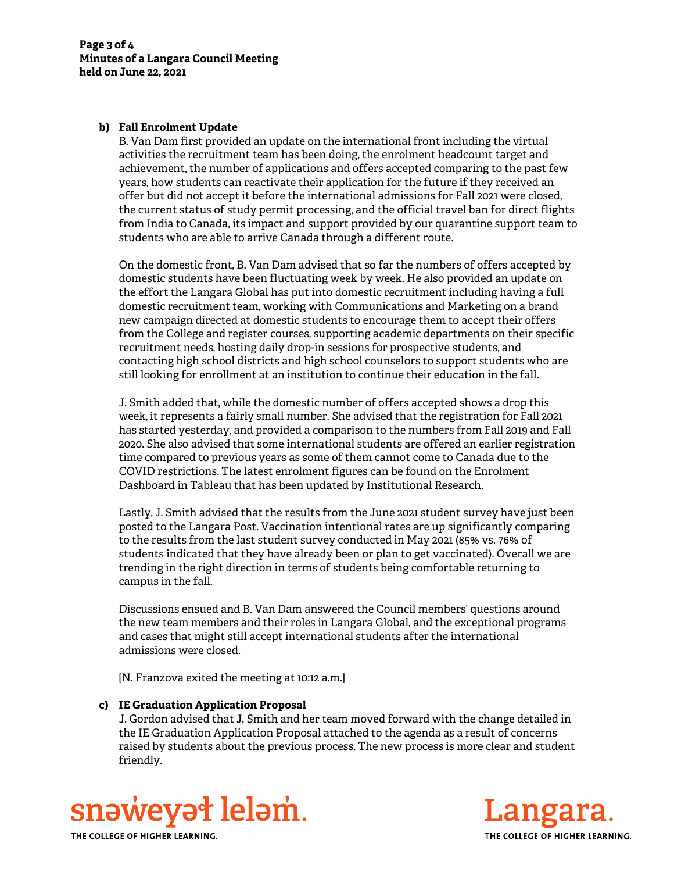## b) Fall Enrolment Update

B. Van Dam first provided an update on the international front including the virtual activities the recruitment team has been doing, the enrolment headcount target and achievement, the number of applications and offers accepted comparing to the past few years, how students can reactivate their application for the future if they received an offer but did not accept it before the international admissions for Fall 2021 were closed, the current status of study permit processing, and the official travel ban for direct flights from India to Canada, its impact and support provided by our quarantine support team to students who are able to arrive Canada through a different route.

On the domestic front, B. Van Dam advised that so far the numbers of offers accepted by domestic students have been fluctuating week by week. He also provided an update on the effort the Langara Global has put into domestic recruitment including having a full domestic recruitment team, working with Communications and Marketing on a brand new campaign directed at domestic students to encourage them to accept their offers from the College and register courses, supporting academic departments on their specific recruitment needs, hosting daily drop-in sessions for prospective students, and contacting high school districts and high school counselors to support students who are still looking for enrollment at an institution to continue their education in the fall.

J. Smith added that, while the domestic number of offers accepted shows a drop this week, it represents a fairly small number. She advised that the registration for Fall 2021 has started yesterday, and provided a comparison to the numbers from Fall 2019 and Fall 2020. She also advised that some international students are offered an earlier registration time compared to previous years as some of them cannot come to Canada due to the COVID restrictions. The latest enrolment figures can be found on the Enrolment Dashboard in Tableau that has been updated by Institutional Research.

Lastly, J. Smith advised that the results from the June 2021 student survey have just been posted to the Langara Post. Vaccination intentional rates are up significantly comparing to the results from the last student survey conducted in May 2021 (85% vs. 76% of students indicated that they have already been or plan to get vaccinated). Overall we are trending in the right direction in terms of students being comfortable returning to campus in the fall.

Discussions ensued and B. Van Dam answered the Council members' questions around the new team members and their roles in Langara Global, and the exceptional programs and cases that might still accept international students after the international admissions were closed.

[N. Franzova exited the meeting at 10:12 a.m.]

### c) IE Graduation Application Proposal

J. Gordon advised that J. Smith and her team moved forward with the change detailed in the IE Graduation Application Proposal attached to the agenda as a result of concerns raised by students about the previous process. The new process is more clear and student friendly.





THE COLLEGE OF HIGHER LEARNING.